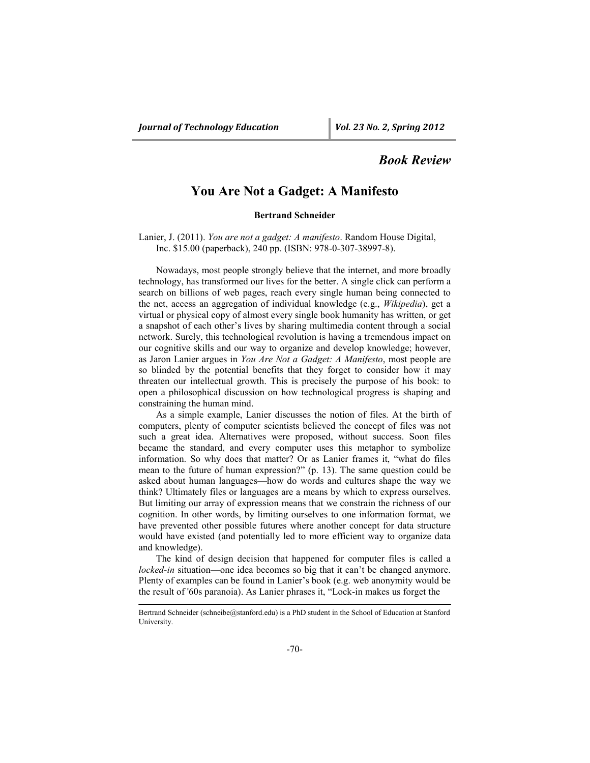## *Book Review*

## **You Are Not a Gadget: A Manifesto**

## **Bertrand Schneider**

Lanier, J. (2011). *You are not a gadget: A manifesto*. Random House Digital, Inc. \$15.00 (paperback), 240 pp. (ISBN: 978-0-307-38997-8).

Nowadays, most people strongly believe that the internet, and more broadly technology, has transformed our lives for the better. A single click can perform a search on billions of web pages, reach every single human being connected to the net, access an aggregation of individual knowledge (e.g., *Wikipedia*), get a virtual or physical copy of almost every single book humanity has written, or get a snapshot of each other's lives by sharing multimedia content through a social network. Surely, this technological revolution is having a tremendous impact on our cognitive skills and our way to organize and develop knowledge; however, as Jaron Lanier argues in *You Are Not a Gadget: A Manifesto*, most people are so blinded by the potential benefits that they forget to consider how it may threaten our intellectual growth. This is precisely the purpose of his book: to open a philosophical discussion on how technological progress is shaping and constraining the human mind.

As a simple example, Lanier discusses the notion of files. At the birth of computers, plenty of computer scientists believed the concept of files was not such a great idea. Alternatives were proposed, without success. Soon files became the standard, and every computer uses this metaphor to symbolize information. So why does that matter? Or as Lanier frames it, "what do files mean to the future of human expression?" (p. 13). The same question could be asked about human languages—how do words and cultures shape the way we think? Ultimately files or languages are a means by which to express ourselves. But limiting our array of expression means that we constrain the richness of our cognition. In other words, by limiting ourselves to one information format, we have prevented other possible futures where another concept for data structure would have existed (and potentially led to more efficient way to organize data and knowledge).

The kind of design decision that happened for computer files is called a *locked-in* situation—one idea becomes so big that it can't be changed anymore. Plenty of examples can be found in Lanier's book (e.g. web anonymity would be the result of '60s paranoia). As Lanier phrases it, "Lock-in makes us forget the

Bertrand Schneider (schneibe@stanford.edu) is a PhD student in the School of Education at Stanford University.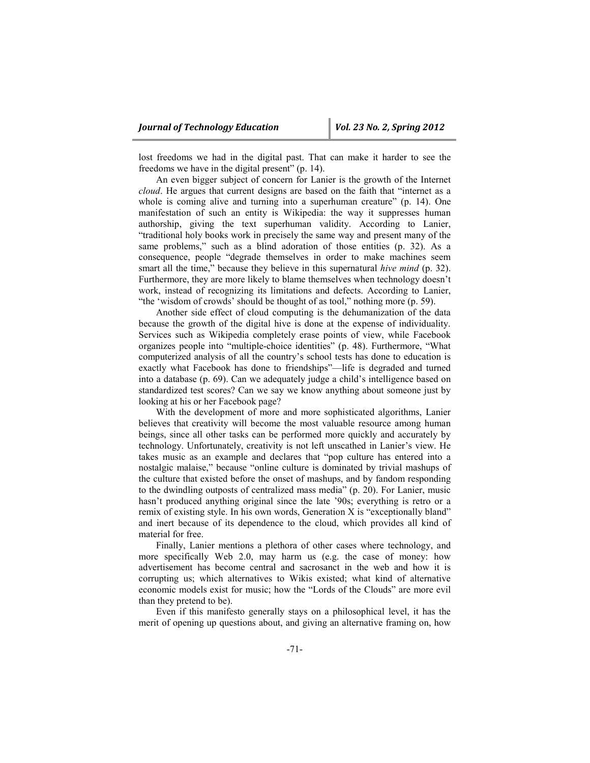lost freedoms we had in the digital past. That can make it harder to see the freedoms we have in the digital present" (p. 14).

An even bigger subject of concern for Lanier is the growth of the Internet *cloud*. He argues that current designs are based on the faith that "internet as a whole is coming alive and turning into a superhuman creature" (p. 14). One manifestation of such an entity is Wikipedia: the way it suppresses human authorship, giving the text superhuman validity. According to Lanier, "traditional holy books work in precisely the same way and present many of the same problems," such as a blind adoration of those entities (p. 32). As a consequence, people "degrade themselves in order to make machines seem smart all the time," because they believe in this supernatural *hive mind* (p. 32). Furthermore, they are more likely to blame themselves when technology doesn't work, instead of recognizing its limitations and defects. According to Lanier, "the 'wisdom of crowds' should be thought of as tool," nothing more (p. 59).

Another side effect of cloud computing is the dehumanization of the data because the growth of the digital hive is done at the expense of individuality. Services such as Wikipedia completely erase points of view, while Facebook organizes people into "multiple-choice identities" (p. 48). Furthermore, "What computerized analysis of all the country's school tests has done to education is exactly what Facebook has done to friendships"—life is degraded and turned into a database (p. 69). Can we adequately judge a child's intelligence based on standardized test scores? Can we say we know anything about someone just by looking at his or her Facebook page?

With the development of more and more sophisticated algorithms, Lanier believes that creativity will become the most valuable resource among human beings, since all other tasks can be performed more quickly and accurately by technology. Unfortunately, creativity is not left unscathed in Lanier's view. He takes music as an example and declares that "pop culture has entered into a nostalgic malaise," because "online culture is dominated by trivial mashups of the culture that existed before the onset of mashups, and by fandom responding to the dwindling outposts of centralized mass media" (p. 20). For Lanier, music hasn't produced anything original since the late '90s; everything is retro or a remix of existing style. In his own words, Generation X is "exceptionally bland" and inert because of its dependence to the cloud, which provides all kind of material for free.

Finally, Lanier mentions a plethora of other cases where technology, and more specifically Web 2.0, may harm us (e.g. the case of money: how advertisement has become central and sacrosanct in the web and how it is corrupting us; which alternatives to Wikis existed; what kind of alternative economic models exist for music; how the "Lords of the Clouds" are more evil than they pretend to be).

Even if this manifesto generally stays on a philosophical level, it has the merit of opening up questions about, and giving an alternative framing on, how